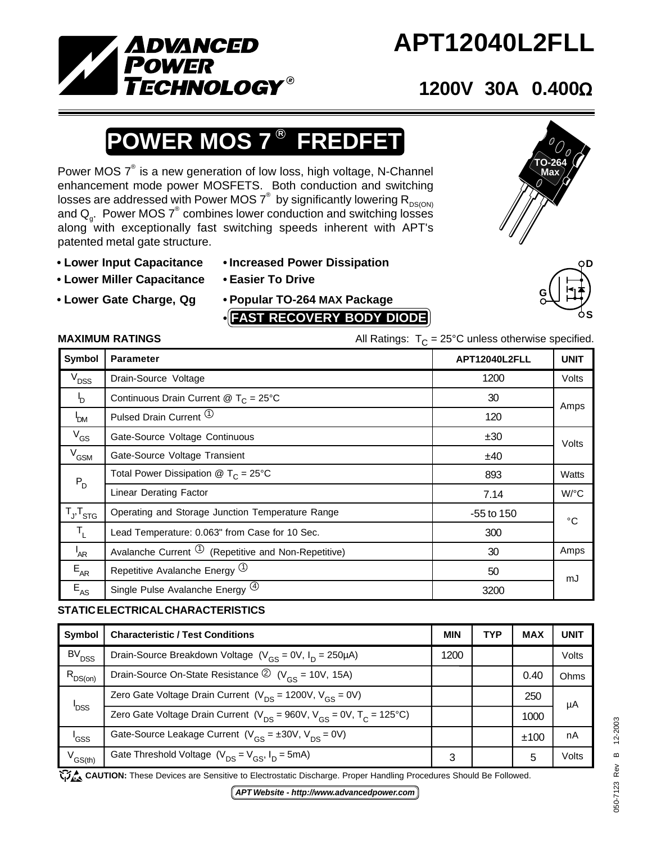

# **APT12040L2FLL**

## **1200V 30A 0.400**Ω

### $\overline{\mathsf{ER}}$  MOS 7  $^\circledR$  **FREDFET**

Power MOS  $7^\circ$  is a new generation of low loss, high voltage, N-Channel enhancement mode power MOSFETS. Both conduction and switching losses are addressed with Power MOS  $7^\circ$  by significantly lowering  $\mathsf{R}_{\mathsf{DS}(\mathsf{ON})}$ and  $Q_{\rm g}$ . Power MOS  $7^{\circ}$  combines lower conduction and switching losses along with exceptionally fast switching speeds inherent with APT's patented metal gate structure.

- **Lower Input Capacitance Increased Power Dissipation**
- **Lower Miller Capacitance Easier To Drive**
- 
- 
- 
- **Lower Gate Charge, Qg Popular TO-264 MAX Package**
	- **• FAST RECOVERY BODY DIODE**

#### **MAXIMUM RATINGS**  $\qquad \qquad \qquad$  All Ratings:  $T_c = 25^{\circ}$ C unless otherwise specified.

| Symbol                     | <b>Parameter</b>                                          | APT12040L2FLL | <b>UNIT</b> |
|----------------------------|-----------------------------------------------------------|---------------|-------------|
| $V_{DSS}$                  | Drain-Source Voltage                                      | 1200          | Volts       |
| $\mathsf{I}_{\mathsf{D}}$  | Continuous Drain Current @ $T_c = 25^{\circ}$ C           | 30            | Amps        |
| <b>P</b> <sub>DM</sub>     | Pulsed Drain Current (1)                                  | 120           |             |
| $V_{GS}$                   | Gate-Source Voltage Continuous                            | ±30           | Volts       |
| V <sub>GSM</sub>           | Gate-Source Voltage Transient                             | ±40           |             |
| $\mathsf{P}_{\mathsf{D}}$  | Total Power Dissipation $\circledR$ T <sub>C</sub> = 25°C | 893           | Watts       |
|                            | <b>Linear Derating Factor</b>                             | 7.14          | W/°C        |
| $T_{J}$ , $T_{STG}$        | Operating and Storage Junction Temperature Range          | $-55$ to 150  | °C          |
| $T_{L}$                    | Lead Temperature: 0.063" from Case for 10 Sec.            | 300           |             |
| $I_{AR}$                   | Avalanche Current $\Phi$ (Repetitive and Non-Repetitive)  | 30            | Amps        |
| $E_{AR}$                   | Repetitive Avalanche Energy (1)                           | 50            | mJ          |
| $\mathsf{E}_{\mathsf{AS}}$ | Single Pulse Avalanche Energy <sup>(4)</sup>              | 3200          |             |
|                            |                                                           |               |             |

#### **STATIC ELECTRICAL CHARACTERISTICS**

| Symbol              | <b>Characteristic / Test Conditions</b>                                          | <b>MIN</b> | <b>TYP</b> | <b>MAX</b> | <b>UNIT</b> |
|---------------------|----------------------------------------------------------------------------------|------------|------------|------------|-------------|
| BV <sub>DSS</sub>   | Drain-Source Breakdown Voltage $(V_{GS} = 0V, I_D = 250 \mu A)$                  | 1200       |            |            | Volts       |
| $R_{DS(on)}$        | Drain-Source On-State Resistance $\circled{2}$ (V <sub>cs</sub> = 10V, 15A)      |            |            | 0.40       | Ohms        |
| <b>P</b> DSS        | Zero Gate Voltage Drain Current ( $V_{DS}$ = 1200V, $V_{GS}$ = 0V)               |            |            | 250        | μA          |
|                     | Zero Gate Voltage Drain Current ( $V_{DS}$ = 960V, $V_{GS}$ = 0V, $T_C$ = 125°C) |            |            | 1000       |             |
| 'GSS                | Gate-Source Leakage Current $(V_{GS} = \pm 30V, V_{DS} = 0V)$                    |            |            | ±100       | nA          |
| $V^{\text{GS(th)}}$ | Gate Threshold Voltage $(V_{DS} = V_{GS}, I_D = 5mA)$                            | 3          |            | 5          | Volts       |

CAUTION: These Devices are Sensitive to Electrostatic Discharge. Proper Handling Procedures Should Be Followed.



**TO-264 Max**

**G D S**

*APT Website - http://www.advancedpower.com*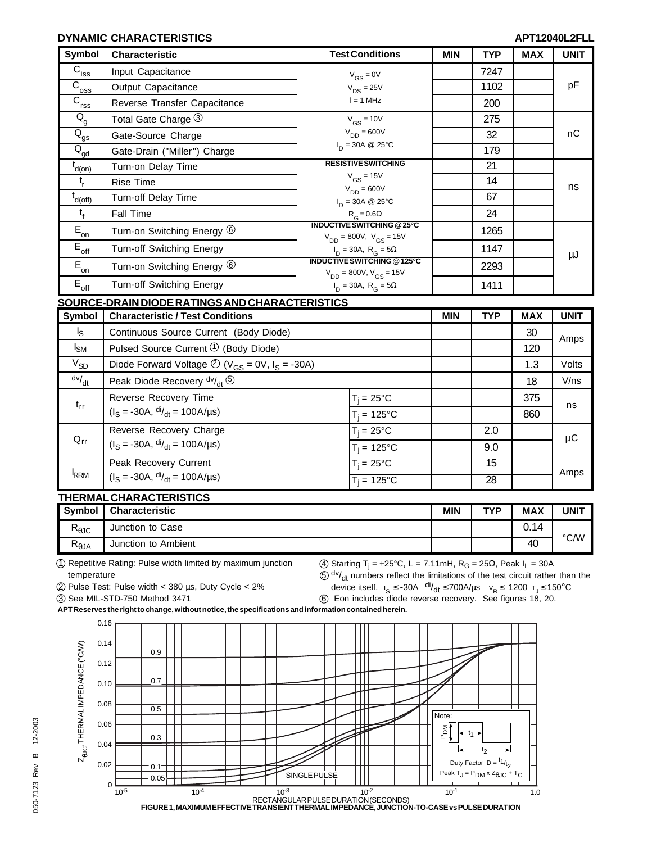#### **DYNAMIC CHARACTERISTICS**

| <b>Symbol</b>                                     | Characteristic                                                                        | <b>Test Conditions</b>                                                                                                                                                                                |                               | <b>MIN</b> | <b>TYP</b>      | <b>MAX</b> | <b>UNIT</b> |  |
|---------------------------------------------------|---------------------------------------------------------------------------------------|-------------------------------------------------------------------------------------------------------------------------------------------------------------------------------------------------------|-------------------------------|------------|-----------------|------------|-------------|--|
| $\overline{C}_{i\underline{ss}}$                  | Input Capacitance                                                                     | $V_{GS} = 0V$<br>$V_{DS} = 25V$<br>$f = 1$ MHz                                                                                                                                                        |                               |            | 7247            |            | pF          |  |
| $\overline{C}_{\underline{oss}}$                  | Output Capacitance                                                                    |                                                                                                                                                                                                       |                               |            | 1102            |            |             |  |
| $\overline{C}_{\underline{rss}}$                  | Reverse Transfer Capacitance                                                          |                                                                                                                                                                                                       |                               |            | 200             |            |             |  |
| $\mathsf{Q}_{\mathsf{g}}$                         | Total Gate Charge 3                                                                   | $V_{GS}$ = 10V<br>$V_{DD} = 600V$                                                                                                                                                                     |                               |            | 275             |            | nC          |  |
| $\overline{\textsf{Q}}_{\underline{\textsf{gs}}}$ | Gate-Source Charge                                                                    |                                                                                                                                                                                                       |                               |            | 32              |            |             |  |
| $\overline{\text{Q}}_{\underline{\text{gd}}}$     | Gate-Drain ("Miller") Charge                                                          |                                                                                                                                                                                                       | $I_{D} = 30A \ @ 25^{\circ}C$ |            | 179             |            |             |  |
| $t_{d(on)}$                                       | Turn-on Delay Time                                                                    | <b>RESISTIVE SWITCHING</b>                                                                                                                                                                            |                               |            | 21              |            | ns          |  |
| $t_{\rm r}$                                       | <b>Rise Time</b>                                                                      |                                                                                                                                                                                                       | $V_{GS}$ = 15V                |            | 14              |            |             |  |
| $t_{d(\text{off})}$                               | <b>Turn-off Delay Time</b>                                                            | $V_{DD} = 600V$<br>$I_{D} = 30A \ @ 25^{\circ}C$                                                                                                                                                      |                               |            | 67              |            |             |  |
| $t_{f}$                                           | <b>Fall Time</b>                                                                      |                                                                                                                                                                                                       | $R_G = 0.6\Omega$             |            | 24              |            |             |  |
| $E_{\underline{\underline{\sigma}}n}$             | Turn-on Switching Energy 6                                                            | <b>INDUCTIVE SWITCHING @25°C</b><br>$V_{DD} = 800V$ , $V_{GS} = 15V$<br>$I_D = 30A$ , $R_G = 5\Omega$<br>INDUCTIVE SWITCHING @125°C<br>$V_{DD} = 800V, V_{GS} = 15V$<br>$I_D = 30A$ , $R_G = 5\Omega$ |                               |            | 1265            |            | μJ          |  |
| $\mathsf{E}_{\mathsf{off}}$                       | Turn-off Switching Energy                                                             |                                                                                                                                                                                                       |                               |            | 1147            |            |             |  |
| $\overline{E}_{on}$                               | Turn-on Switching Energy <sup>6</sup>                                                 |                                                                                                                                                                                                       |                               |            | 2293            |            |             |  |
| $E_{\rm off}$                                     | <b>Turn-off Switching Energy</b>                                                      |                                                                                                                                                                                                       |                               |            | 1411            |            |             |  |
|                                                   | <u>SOURCE-DRAIN DIODE RATINGS AND CHARACTERISTICS</u>                                 |                                                                                                                                                                                                       |                               |            |                 |            |             |  |
| Symbol                                            | <b>Characteristic / Test Conditions</b>                                               |                                                                                                                                                                                                       |                               |            | <b>TYP</b>      | <b>MAX</b> | <b>UNIT</b> |  |
| $I_{\rm S}$                                       | Continuous Source Current (Body Diode)                                                |                                                                                                                                                                                                       |                               |            | 30              | Amps       |             |  |
| $I_{\text{SM}}$                                   | Pulsed Source Current $\mathcal{D}$ (Body Diode)                                      |                                                                                                                                                                                                       |                               |            |                 | 120        |             |  |
| $V_{SD}$                                          | Diode Forward Voltage $\textcircled{2}$ (V <sub>GS</sub> = 0V, I <sub>S</sub> = -30A) |                                                                                                                                                                                                       |                               |            |                 | 1.3        | Volts       |  |
| $\frac{dv}{dt}$                                   | Peak Diode Recovery dv/ <sub>dt</sub> 5                                               |                                                                                                                                                                                                       |                               |            |                 | 18         | V/ns        |  |
| $t_{rr}$                                          | Reverse Recovery Time                                                                 |                                                                                                                                                                                                       | $T_i = 25^{\circ}C$           |            |                 | 375        | ns          |  |
|                                                   | $(I_S = -30A, \frac{di}{dt} = 100A/\mu s)$                                            |                                                                                                                                                                                                       | $T_i = 125$ °C                |            |                 | 860        |             |  |
| $Q_{rr}$                                          | Reverse Recovery Charge                                                               |                                                                                                                                                                                                       | $T_i = 25^{\circ}C$           |            | 2.0             |            | μC          |  |
|                                                   | $(IS = -30A, \frac{di}{dt} = 100A/\mu s)$                                             |                                                                                                                                                                                                       | $T_i = 125$ °C                |            | 9.0             |            |             |  |
| <b>IRRM</b>                                       | Peak Recovery Current                                                                 |                                                                                                                                                                                                       | $T_i = 25^{\circ}C$           |            | 15              |            |             |  |
|                                                   | $(I_S = -30A, \frac{di}{dt} = 100A/\mu s)$                                            |                                                                                                                                                                                                       | $T_i = 125^{\circ}$ C         |            | $\overline{28}$ |            | Amps        |  |

#### **THERMAL CHARACTERISTICS**

| <b>Symbol</b>        | <b>Characteristic</b> | <b>MIN</b> | TVD | <b>MAX</b> | UNIT |
|----------------------|-----------------------|------------|-----|------------|------|
| D<br>৲ፀЈС            | Junction to Case      |            |     | 0.14       |      |
| D<br>$R_{\theta}$ JA | Junction to Ambient   |            |     | 40         | °C/W |

1 Repetitive Rating: Pulse width limited by maximum junction temperature

 $\textcircled{4}$  Starting T<sub>j</sub> = +25°C, L = 7.11mH, R<sub>G</sub> = 25Ω, Peak I<sub>L</sub> = 30A  $\overline{\textcircled{s}}$  dv/<sub>dt</sub> numbers reflect the limitations of the test circuit rather than the

2 Pulse Test: Pulse width < 380 µs, Duty Cycle < 2%

3 See MIL-STD-750 Method 3471

device itself.  $I_S \le -30A \frac{di}{dt} \le 700A/\mu s$   $V_R \le 1200 \tau_J \le 150^{\circ}C$ 6 Eon includes diode reverse recovery. See figures 18, 20.

**APT Reserves the right to change, without notice, the specifications and information contained herein.**

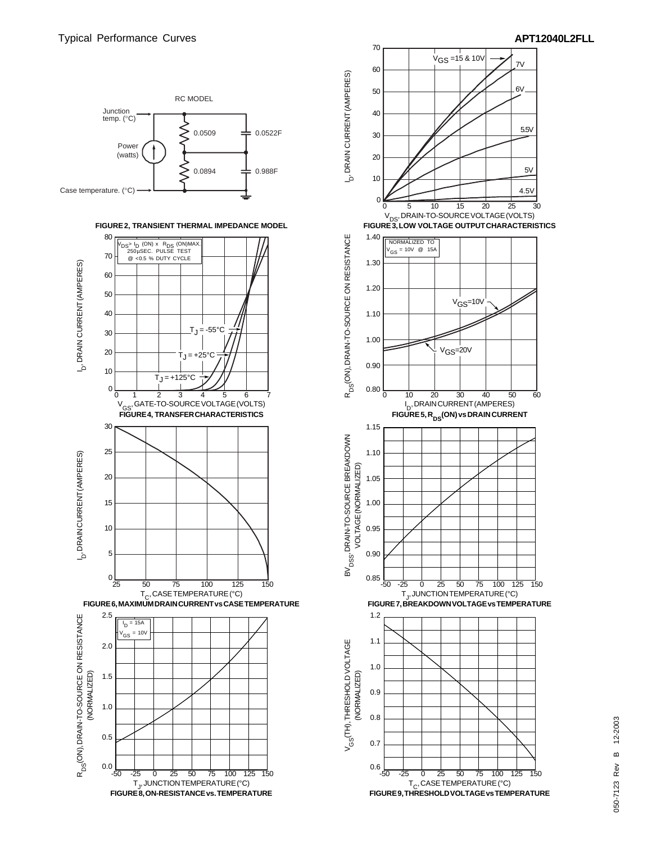

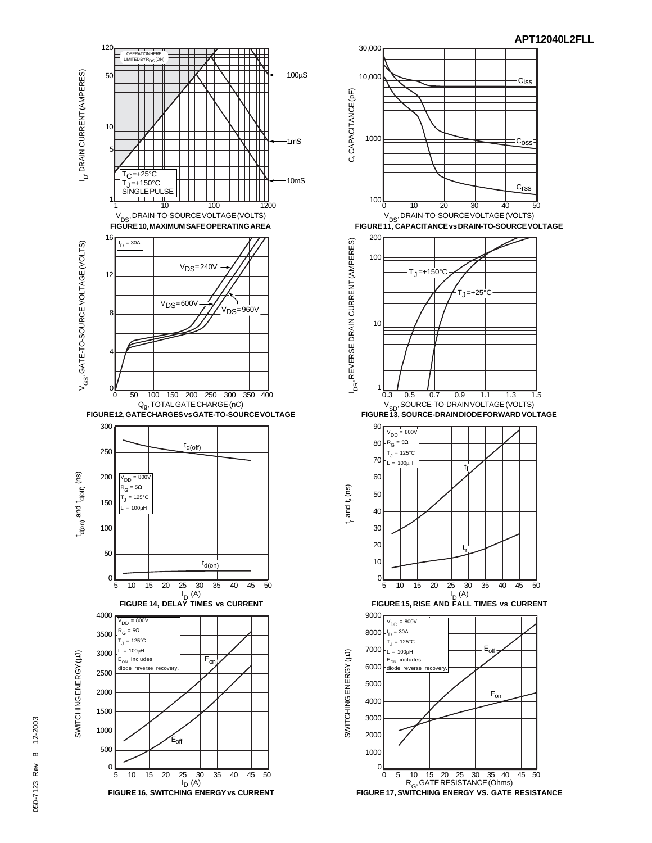